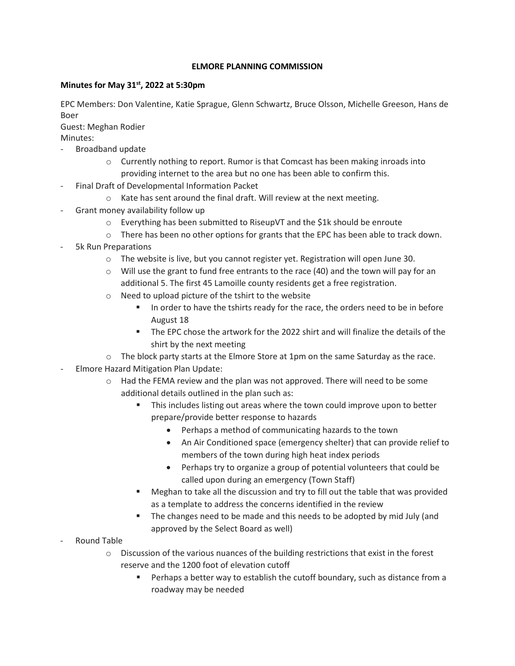## **ELMORE PLANNING COMMISSION**

## **Minutes for May 31st, 2022 at 5:30pm**

EPC Members: Don Valentine, Katie Sprague, Glenn Schwartz, Bruce Olsson, Michelle Greeson, Hans de Boer

Guest: Meghan Rodier Minutes:

- Broadband update
	- $\circ$  Currently nothing to report. Rumor is that Comcast has been making inroads into providing internet to the area but no one has been able to confirm this.
- Final Draft of Developmental Information Packet
	- o Kate has sent around the final draft. Will review at the next meeting.
- Grant money availability follow up
	- o Everything has been submitted to RiseupVT and the \$1k should be enroute
	- $\circ$  There has been no other options for grants that the EPC has been able to track down.
- 5k Run Preparations
	- o The website is live, but you cannot register yet. Registration will open June 30.
	- $\circ$  Will use the grant to fund free entrants to the race (40) and the town will pay for an additional 5. The first 45 Lamoille county residents get a free registration.
	- o Need to upload picture of the tshirt to the website
		- In order to have the tshirts ready for the race, the orders need to be in before August 18
		- The EPC chose the artwork for the 2022 shirt and will finalize the details of the shirt by the next meeting
	- $\circ$  The block party starts at the Elmore Store at 1pm on the same Saturday as the race.
- Elmore Hazard Mitigation Plan Update:
	- o Had the FEMA review and the plan was not approved. There will need to be some additional details outlined in the plan such as:
		- **This includes listing out areas where the town could improve upon to better** prepare/provide better response to hazards
			- Perhaps a method of communicating hazards to the town
			- An Air Conditioned space (emergency shelter) that can provide relief to members of the town during high heat index periods
			- Perhaps try to organize a group of potential volunteers that could be called upon during an emergency (Town Staff)
		- Meghan to take all the discussion and try to fill out the table that was provided as a template to address the concerns identified in the review
		- The changes need to be made and this needs to be adopted by mid July (and approved by the Select Board as well)
- Round Table
	- $\circ$  Discussion of the various nuances of the building restrictions that exist in the forest reserve and the 1200 foot of elevation cutoff
		- Perhaps a better way to establish the cutoff boundary, such as distance from a roadway may be needed